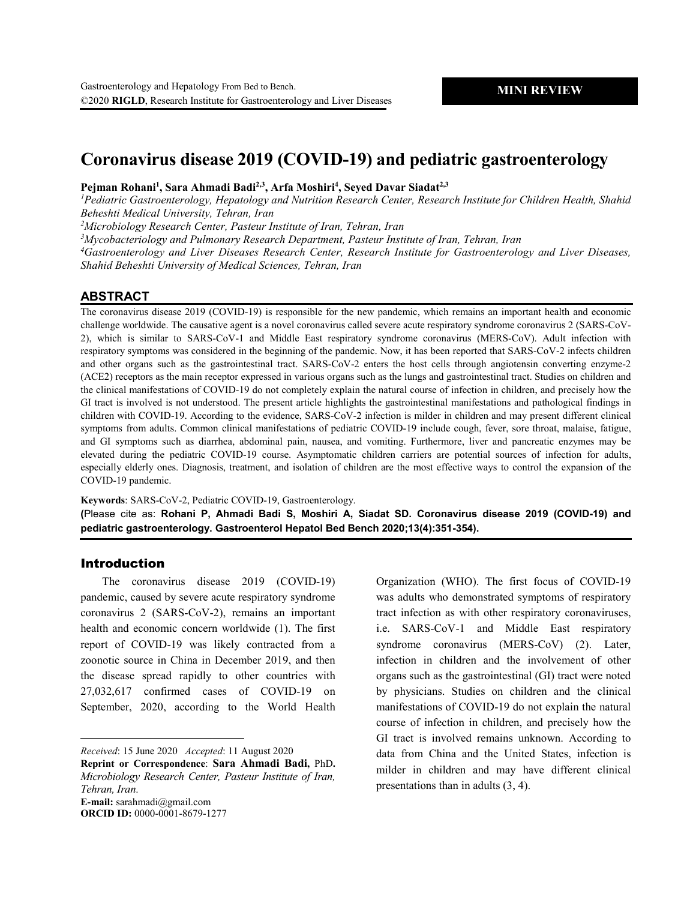# **Coronavirus disease 2019 (COVID-19) and pediatric gastroenterology**

**Pejman Rohani1 , Sara Ahmadi Badi2,3, Arfa Moshiri4 , Seyed Davar Siadat2,3**

*1 Pediatric Gastroenterology, Hepatology and Nutrition Research Center, Research Institute for Children Health, Shahid Beheshti Medical University, Tehran, Iran*

*2 Microbiology Research Center, Pasteur Institute of Iran, Tehran, Iran*

*3 Mycobacteriology and Pulmonary Research Department, Pasteur Institute of Iran, Tehran, Iran*

*4 Gastroenterology and Liver Diseases Research Center, Research Institute for Gastroenterology and Liver Diseases, Shahid Beheshti University of Medical Sciences, Tehran, Iran*

## **ABSTRACT**

The coronavirus disease 2019 (COVID-19) is responsible for the new pandemic, which remains an important health and economic challenge worldwide. The causative agent is a novel coronavirus called severe acute respiratory syndrome coronavirus 2 (SARS-CoV-2), which is similar to SARS-CoV-1 and Middle East respiratory syndrome coronavirus (MERS-CoV). Adult infection with respiratory symptoms was considered in the beginning of the pandemic. Now, it has been reported that SARS-CoV-2 infects children and other organs such as the gastrointestinal tract. SARS-CoV-2 enters the host cells through angiotensin converting enzyme-2 (ACE2) receptors as the main receptor expressed in various organs such as the lungs and gastrointestinal tract. Studies on children and the clinical manifestations of COVID-19 do not completely explain the natural course of infection in children, and precisely how the GI tract is involved is not understood. The present article highlights the gastrointestinal manifestations and pathological findings in children with COVID-19. According to the evidence, SARS-CoV-2 infection is milder in children and may present different clinical symptoms from adults. Common clinical manifestations of pediatric COVID-19 include cough, fever, sore throat, malaise, fatigue, and GI symptoms such as diarrhea, abdominal pain, nausea, and vomiting. Furthermore, liver and pancreatic enzymes may be elevated during the pediatric COVID-19 course. Asymptomatic children carriers are potential sources of infection for adults, especially elderly ones. Diagnosis, treatment, and isolation of children are the most effective ways to control the expansion of the COVID-19 pandemic.

**Keywords**: SARS-CoV-2, Pediatric COVID-19, Gastroenterology.

**(**Please cite as: **Rohani P, Ahmadi Badi S, Moshiri A, Siadat SD. Coronavirus disease 2019 (COVID-19) and pediatric gastroenterology. Gastroenterol Hepatol Bed Bench 2020;13(4):351-354).**

## Introduction

 $\overline{a}$ 

The coronavirus disease 2019 (COVID-19) pandemic, caused by severe acute respiratory syndrome coronavirus 2 (SARS-CoV-2), remains an important health and economic concern worldwide (1). The first report of COVID-19 was likely contracted from a zoonotic source in China in December 2019, and then the disease spread rapidly to other countries with 27,032,617 confirmed cases of COVID-19 on September, 2020, according to the World Health

*Received*: 15 June 2020 *Accepted*: 11 August 2020

**Reprint or Correspondence**: **Sara Ahmadi Badi,** PhD**.** *Microbiology Research Center, Pasteur Institute of Iran, Tehran, Iran*. **E-mail:** sarahmadi@gmail.com

**ORCID ID:** 0000-0001-8679-1277

Organization (WHO). The first focus of COVID-19 was adults who demonstrated symptoms of respiratory tract infection as with other respiratory coronaviruses, i.e. SARS-CoV-1 and Middle East respiratory syndrome coronavirus (MERS-CoV) (2). Later, infection in children and the involvement of other organs such as the gastrointestinal (GI) tract were noted by physicians. Studies on children and the clinical manifestations of COVID-19 do not explain the natural course of infection in children, and precisely how the GI tract is involved remains unknown. According to data from China and the United States, infection is milder in children and may have different clinical presentations than in adults (3, 4).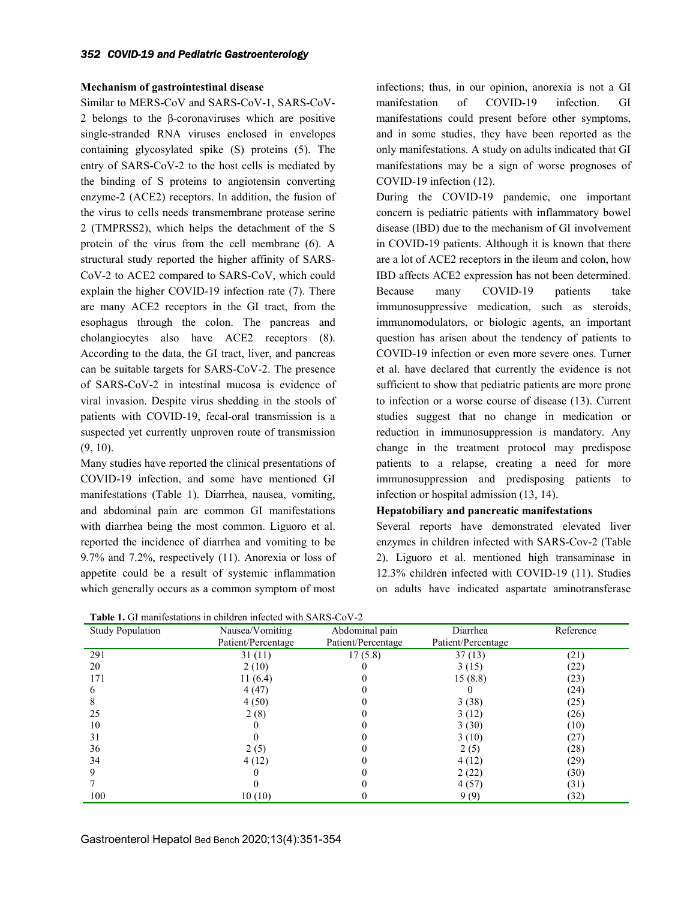### **Mechanism of gastrointestinal disease**

Similar to MERS-CoV and SARS-CoV-1, SARS-CoV-2 belongs to the β-coronaviruses which are positive single-stranded RNA viruses enclosed in envelopes containing glycosylated spike (S) proteins (5). The entry of SARS-CoV-2 to the host cells is mediated by the binding of S proteins to angiotensin converting enzyme-2 (ACE2) receptors. In addition, the fusion of the virus to cells needs transmembrane protease serine 2 (TMPRSS2), which helps the detachment of the S protein of the virus from the cell membrane (6). A structural study reported the higher affinity of SARS-CoV-2 to ACE2 compared to SARS-CoV, which could explain the higher COVID-19 infection rate (7). There are many ACE2 receptors in the GI tract, from the esophagus through the colon. The pancreas and cholangiocytes also have ACE2 receptors (8). According to the data, the GI tract, liver, and pancreas can be suitable targets for SARS-CoV-2. The presence of SARS-CoV-2 in intestinal mucosa is evidence of viral invasion. Despite virus shedding in the stools of patients with COVID-19, fecal-oral transmission is a suspected yet currently unproven route of transmission (9, 10).

Many studies have reported the clinical presentations of COVID-19 infection, and some have mentioned GI manifestations (Table 1). Diarrhea, nausea, vomiting, and abdominal pain are common GI manifestations with diarrhea being the most common. Liguoro et al. reported the incidence of diarrhea and vomiting to be 9.7% and 7.2%, respectively (11). Anorexia or loss of appetite could be a result of systemic inflammation which generally occurs as a common symptom of most

infections; thus, in our opinion, anorexia is not a GI manifestation of COVID-19 infection. GI manifestations could present before other symptoms, and in some studies, they have been reported as the only manifestations. A study on adults indicated that GI manifestations may be a sign of worse prognoses of COVID-19 infection (12).

During the COVID-19 pandemic, one important concern is pediatric patients with inflammatory bowel disease (IBD) due to the mechanism of GI involvement in COVID-19 patients. Although it is known that there are a lot of ACE2 receptors in the ileum and colon, how IBD affects ACE2 expression has not been determined. Because many COVID-19 patients take immunosuppressive medication, such as steroids, immunomodulators, or biologic agents, an important question has arisen about the tendency of patients to COVID-19 infection or even more severe ones. Turner et al. have declared that currently the evidence is not sufficient to show that pediatric patients are more prone to infection or a worse course of disease (13). Current studies suggest that no change in medication or reduction in immunosuppression is mandatory. Any change in the treatment protocol may predispose patients to a relapse, creating a need for more immunosuppression and predisposing patients to infection or hospital admission (13, 14).

### **Hepatobiliary and pancreatic manifestations**

Several reports have demonstrated elevated liver enzymes in children infected with SARS-Cov-2 (Table 2). Liguoro et al. mentioned high transaminase in 12.3% children infected with COVID-19 (11). Studies on adults have indicated aspartate aminotransferase

**Table 1.** GI manifestations in children infected with SARS-CoV-2

|                         | <b>Table 1.</b> Of mannestations in emigren imeeted with $\beta$ tree Co $\ell$ |                    | Diarrhea           | Reference |
|-------------------------|---------------------------------------------------------------------------------|--------------------|--------------------|-----------|
| <b>Study Population</b> | Nausea/Vomiting                                                                 | Abdominal pain     |                    |           |
|                         | Patient/Percentage                                                              | Patient/Percentage | Patient/Percentage |           |
| 291                     | 31(11)                                                                          | 17(5.8)            | 37(13)             | (21)      |
| 20                      | 2(10)                                                                           |                    | 3(15)              | (22)      |
| 171                     | 11 (6.4)                                                                        |                    | 15(8.8)            | (23)      |
|                         | 4(47)                                                                           |                    |                    | (24)      |
|                         | 4(50)                                                                           |                    | 3(38)              | (25)      |
| 25                      | 2(8)                                                                            |                    | 3(12)              | (26)      |
| 10                      |                                                                                 |                    | 3(30)              | (10)      |
| 31                      |                                                                                 |                    | 3(10)              | (27)      |
| 36                      | 2(5)                                                                            |                    | 2(5)               | (28)      |
| 34                      | 4(12)                                                                           |                    | 4(12)              | (29)      |
|                         |                                                                                 |                    | 2(22)              | (30)      |
|                         |                                                                                 |                    | 4(57)              | (31)      |
| 100                     | 10(10)                                                                          |                    | 9 (9)              | (32)      |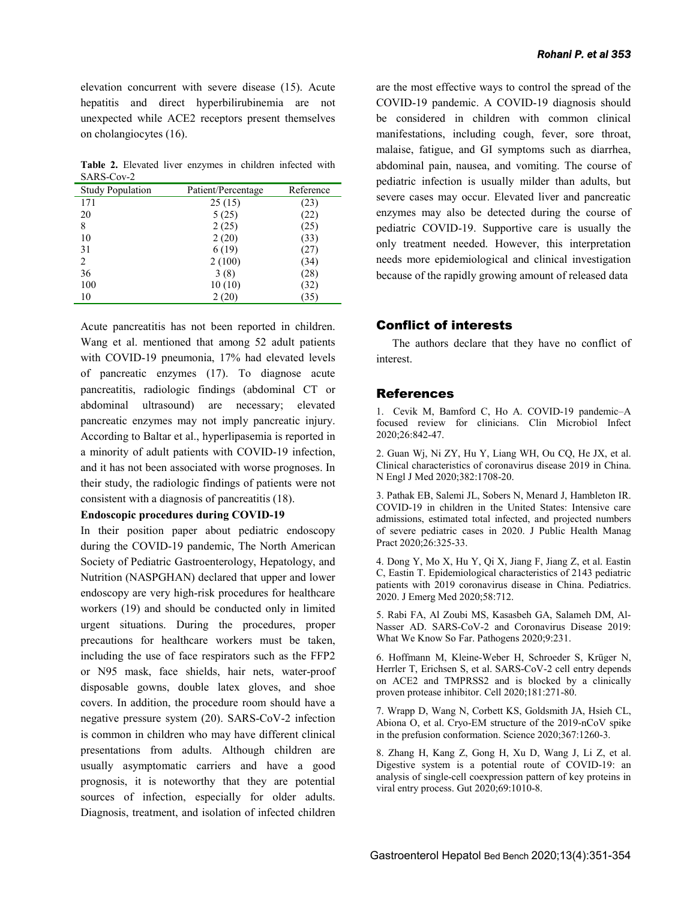elevation concurrent with severe disease (15). Acute hepatitis and direct hyperbilirubinemia are not unexpected while ACE2 receptors present themselves on cholangiocytes (16).

**Table 2.** Elevated liver enzymes in children infected with SARS-Cov-2

| <b>Study Population</b> | Patient/Percentage | Reference |
|-------------------------|--------------------|-----------|
| 171                     | 25(15)             | 23)       |
| 20                      | 5(25)              | 22)       |
| 8                       | 2(25)              | 25)       |
| 10                      | 2(20)              | (33)      |
| 31                      | 6(19)              | (27)      |
| $\overline{c}$          | 2(100)             | (34)      |
| 36                      | 3(8)               | $^{(28)}$ |
| 100                     | 10(10)             | 32)       |
| 10                      | 2(20)              | (35)      |

Acute pancreatitis has not been reported in children. Wang et al. mentioned that among 52 adult patients with COVID-19 pneumonia, 17% had elevated levels of pancreatic enzymes (17). To diagnose acute pancreatitis, radiologic findings (abdominal CT or abdominal ultrasound) are necessary; elevated pancreatic enzymes may not imply pancreatic injury. According to Baltar et al., hyperlipasemia is reported in a minority of adult patients with COVID-19 infection, and it has not been associated with worse prognoses. In their study, the radiologic findings of patients were not consistent with a diagnosis of pancreatitis (18).

#### **Endoscopic procedures during COVID-19**

In their position paper about pediatric endoscopy during the COVID-19 pandemic, The North American Society of Pediatric Gastroenterology, Hepatology, and Nutrition (NASPGHAN) declared that upper and lower endoscopy are very high-risk procedures for healthcare workers (19) and should be conducted only in limited urgent situations. During the procedures, proper precautions for healthcare workers must be taken, including the use of face respirators such as the FFP2 or N95 mask, face shields, hair nets, water-proof disposable gowns, double latex gloves, and shoe covers. In addition, the procedure room should have a negative pressure system (20). SARS-CoV-2 infection is common in children who may have different clinical presentations from adults. Although children are usually asymptomatic carriers and have a good prognosis, it is noteworthy that they are potential sources of infection, especially for older adults. Diagnosis, treatment, and isolation of infected children

are the most effective ways to control the spread of the COVID-19 pandemic. A COVID-19 diagnosis should be considered in children with common clinical manifestations, including cough, fever, sore throat, malaise, fatigue, and GI symptoms such as diarrhea, abdominal pain, nausea, and vomiting. The course of pediatric infection is usually milder than adults, but severe cases may occur. Elevated liver and pancreatic enzymes may also be detected during the course of pediatric COVID-19. Supportive care is usually the only treatment needed. However, this interpretation needs more epidemiological and clinical investigation because of the rapidly growing amount of released data

## Conflict of interests

The authors declare that they have no conflict of interest.

## References

1. Cevik M, Bamford C, Ho A. COVID-19 pandemic–A focused review for clinicians. Clin Microbiol Infect 2020;26:842-47.

2. Guan Wj, Ni ZY, Hu Y, Liang WH, Ou CQ, He JX, et al. Clinical characteristics of coronavirus disease 2019 in China. N Engl J Med 2020;382:1708-20.

3. Pathak EB, Salemi JL, Sobers N, Menard J, Hambleton IR. COVID-19 in children in the United States: Intensive care admissions, estimated total infected, and projected numbers of severe pediatric cases in 2020. J Public Health Manag Pract 2020;26:325-33.

4. Dong Y, Mo X, Hu Y, Qi X, Jiang F, Jiang Z, et al. Eastin C, Eastin T. Epidemiological characteristics of 2143 pediatric patients with 2019 coronavirus disease in China. Pediatrics. 2020. J Emerg Med 2020;58:712.

5. Rabi FA, Al Zoubi MS, Kasasbeh GA, Salameh DM, Al-Nasser AD. SARS-CoV-2 and Coronavirus Disease 2019: What We Know So Far. Pathogens 2020;9:231.

6. Hoffmann M, Kleine-Weber H, Schroeder S, Krüger N, Herrler T, Erichsen S, et al. SARS-CoV-2 cell entry depends on ACE2 and TMPRSS2 and is blocked by a clinically proven protease inhibitor. Cell 2020;181:271-80.

7. Wrapp D, Wang N, Corbett KS, Goldsmith JA, Hsieh CL, Abiona O, et al. Cryo-EM structure of the 2019-nCoV spike in the prefusion conformation. Science 2020;367:1260-3.

8. Zhang H, Kang Z, Gong H, Xu D, Wang J, Li Z, et al. Digestive system is a potential route of COVID-19: an analysis of single-cell coexpression pattern of key proteins in viral entry process. Gut 2020;69:1010-8.